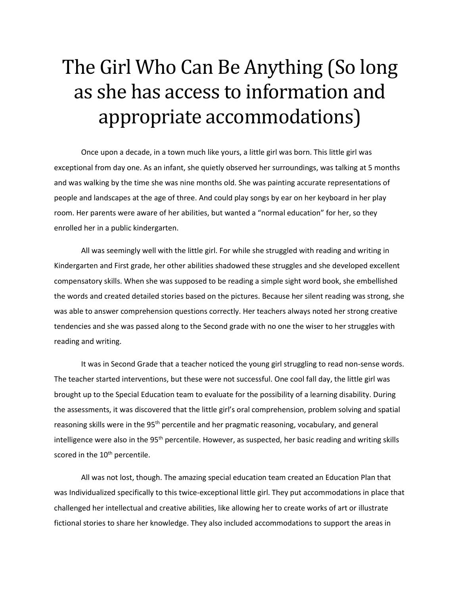## The Girl Who Can Be Anything (So long as she has access to information and appropriate accommodations)

Once upon a decade, in a town much like yours, a little girl was born. This little girl was exceptional from day one. As an infant, she quietly observed her surroundings, was talking at 5 months and was walking by the time she was nine months old. She was painting accurate representations of people and landscapes at the age of three. And could play songs by ear on her keyboard in her play room. Her parents were aware of her abilities, but wanted a "normal education" for her, so they enrolled her in a public kindergarten.

All was seemingly well with the little girl. For while she struggled with reading and writing in Kindergarten and First grade, her other abilities shadowed these struggles and she developed excellent compensatory skills. When she was supposed to be reading a simple sight word book, she embellished the words and created detailed stories based on the pictures. Because her silent reading was strong, she was able to answer comprehension questions correctly. Her teachers always noted her strong creative tendencies and she was passed along to the Second grade with no one the wiser to her struggles with reading and writing.

It was in Second Grade that a teacher noticed the young girl struggling to read non-sense words. The teacher started interventions, but these were not successful. One cool fall day, the little girl was brought up to the Special Education team to evaluate for the possibility of a learning disability. During the assessments, it was discovered that the little girl's oral comprehension, problem solving and spatial reasoning skills were in the 95<sup>th</sup> percentile and her pragmatic reasoning, vocabulary, and general intelligence were also in the  $95<sup>th</sup>$  percentile. However, as suspected, her basic reading and writing skills scored in the 10<sup>th</sup> percentile.

All was not lost, though. The amazing special education team created an Education Plan that was Individualized specifically to this twice-exceptional little girl. They put accommodations in place that challenged her intellectual and creative abilities, like allowing her to create works of art or illustrate fictional stories to share her knowledge. They also included accommodations to support the areas in